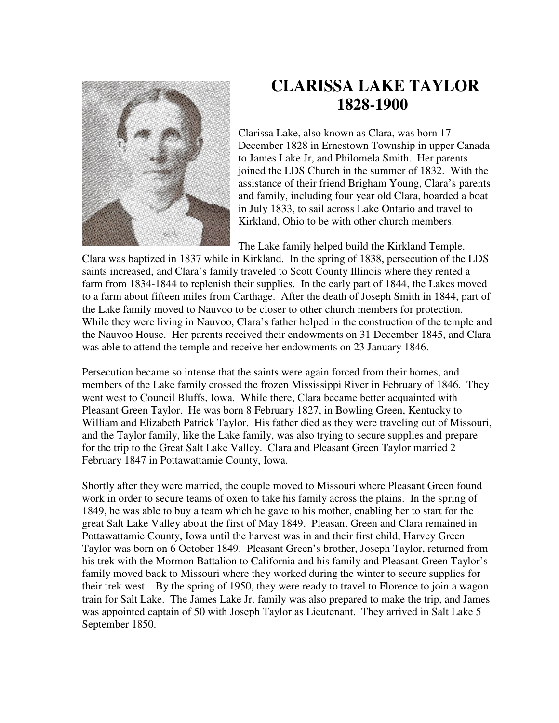

## **CLARISSA LAKE TAYLOR 1828-1900**

Clarissa Lake, also known as Clara, was born 17 December 1828 in Ernestown Township in upper Canada to James Lake Jr, and Philomela Smith. Her parents joined the LDS Church in the summer of 1832. With the assistance of their friend Brigham Young, Clara's parents and family, including four year old Clara, boarded a boat in July 1833, to sail across Lake Ontario and travel to Kirkland, Ohio to be with other church members.

The Lake family helped build the Kirkland Temple.

Clara was baptized in 1837 while in Kirkland. In the spring of 1838, persecution of the LDS saints increased, and Clara's family traveled to Scott County Illinois where they rented a farm from 1834-1844 to replenish their supplies. In the early part of 1844, the Lakes moved to a farm about fifteen miles from Carthage. After the death of Joseph Smith in 1844, part of the Lake family moved to Nauvoo to be closer to other church members for protection. While they were living in Nauvoo, Clara's father helped in the construction of the temple and the Nauvoo House. Her parents received their endowments on 31 December 1845, and Clara was able to attend the temple and receive her endowments on 23 January 1846.

Persecution became so intense that the saints were again forced from their homes, and members of the Lake family crossed the frozen Mississippi River in February of 1846. They went west to Council Bluffs, Iowa. While there, Clara became better acquainted with Pleasant Green Taylor. He was born 8 February 1827, in Bowling Green, Kentucky to William and Elizabeth Patrick Taylor. His father died as they were traveling out of Missouri, and the Taylor family, like the Lake family, was also trying to secure supplies and prepare for the trip to the Great Salt Lake Valley. Clara and Pleasant Green Taylor married 2 February 1847 in Pottawattamie County, Iowa.

Shortly after they were married, the couple moved to Missouri where Pleasant Green found work in order to secure teams of oxen to take his family across the plains. In the spring of 1849, he was able to buy a team which he gave to his mother, enabling her to start for the great Salt Lake Valley about the first of May 1849. Pleasant Green and Clara remained in Pottawattamie County, Iowa until the harvest was in and their first child, Harvey Green Taylor was born on 6 October 1849. Pleasant Green's brother, Joseph Taylor, returned from his trek with the Mormon Battalion to California and his family and Pleasant Green Taylor's family moved back to Missouri where they worked during the winter to secure supplies for their trek west. By the spring of 1950, they were ready to travel to Florence to join a wagon train for Salt Lake. The James Lake Jr. family was also prepared to make the trip, and James was appointed captain of 50 with Joseph Taylor as Lieutenant. They arrived in Salt Lake 5 September 1850.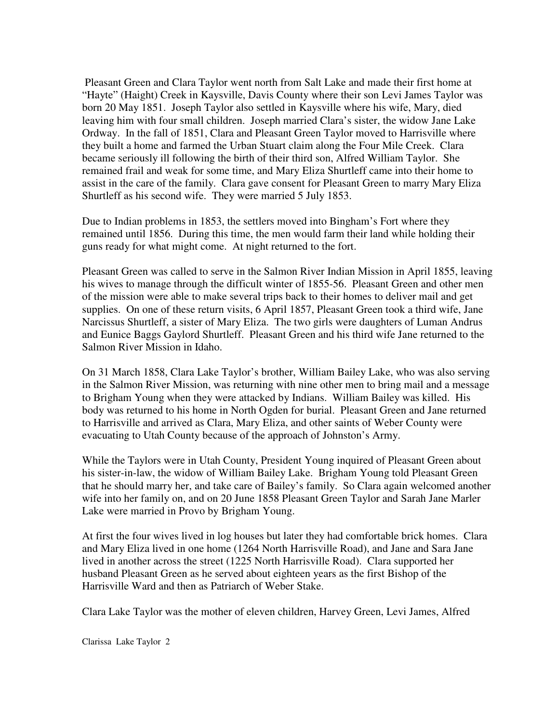Pleasant Green and Clara Taylor went north from Salt Lake and made their first home at "Hayte" (Haight) Creek in Kaysville, Davis County where their son Levi James Taylor was born 20 May 1851. Joseph Taylor also settled in Kaysville where his wife, Mary, died leaving him with four small children. Joseph married Clara's sister, the widow Jane Lake Ordway. In the fall of 1851, Clara and Pleasant Green Taylor moved to Harrisville where they built a home and farmed the Urban Stuart claim along the Four Mile Creek. Clara became seriously ill following the birth of their third son, Alfred William Taylor. She remained frail and weak for some time, and Mary Eliza Shurtleff came into their home to assist in the care of the family. Clara gave consent for Pleasant Green to marry Mary Eliza Shurtleff as his second wife. They were married 5 July 1853.

Due to Indian problems in 1853, the settlers moved into Bingham's Fort where they remained until 1856. During this time, the men would farm their land while holding their guns ready for what might come. At night returned to the fort.

Pleasant Green was called to serve in the Salmon River Indian Mission in April 1855, leaving his wives to manage through the difficult winter of 1855-56. Pleasant Green and other men of the mission were able to make several trips back to their homes to deliver mail and get supplies. On one of these return visits, 6 April 1857, Pleasant Green took a third wife, Jane Narcissus Shurtleff, a sister of Mary Eliza. The two girls were daughters of Luman Andrus and Eunice Baggs Gaylord Shurtleff. Pleasant Green and his third wife Jane returned to the Salmon River Mission in Idaho.

On 31 March 1858, Clara Lake Taylor's brother, William Bailey Lake, who was also serving in the Salmon River Mission, was returning with nine other men to bring mail and a message to Brigham Young when they were attacked by Indians. William Bailey was killed. His body was returned to his home in North Ogden for burial. Pleasant Green and Jane returned to Harrisville and arrived as Clara, Mary Eliza, and other saints of Weber County were evacuating to Utah County because of the approach of Johnston's Army.

While the Taylors were in Utah County, President Young inquired of Pleasant Green about his sister-in-law, the widow of William Bailey Lake. Brigham Young told Pleasant Green that he should marry her, and take care of Bailey's family. So Clara again welcomed another wife into her family on, and on 20 June 1858 Pleasant Green Taylor and Sarah Jane Marler Lake were married in Provo by Brigham Young.

At first the four wives lived in log houses but later they had comfortable brick homes. Clara and Mary Eliza lived in one home (1264 North Harrisville Road), and Jane and Sara Jane lived in another across the street (1225 North Harrisville Road). Clara supported her husband Pleasant Green as he served about eighteen years as the first Bishop of the Harrisville Ward and then as Patriarch of Weber Stake.

Clara Lake Taylor was the mother of eleven children, Harvey Green, Levi James, Alfred